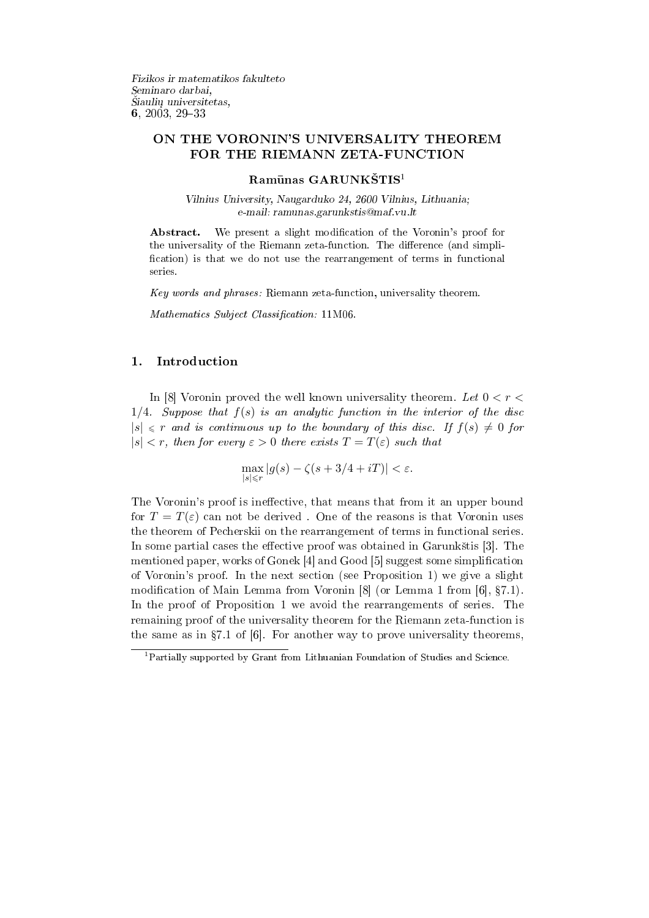Fizikos ir matematikos fakulteto Seminaro darbai, Siaulių universitetas, 6, 2003, 29-33

# ON THE VORONIN'S UNIVERSALITY THEOREM FOR THE RIEMANN ZETA-FUNCTION

#### $\rm{Ramūnas}$   $\rm{GARUNK}\tilde{S}TIS$ <sup>1</sup>

Vilnius University, Naugarduko 24, 2600 Vilnius, Lithuania; e-mail: ramunas.garunkstis@maf.vu.lt

Abstract. We present a slight modification of the Voronin's proof for the universality of the Riemann zeta-function. The difference (and simplification) is that we do not use the rearrangement of terms in functional series.

Key words and phrases: Riemann zeta-function, universality theorem.

Mathematics Subject Classification: 11M06.

## 1. Introduction

In [8] Voronin proved the well known universality theorem. Let  $0 < r <$  $1/4$ . Suppose that  $f(s)$  is an analytic function in the interior of the disc  $|s| \leq r$  and is continuous up to the boundary of this disc. If  $f(s) \neq 0$  for  $|s| < r$ , then for every  $\varepsilon > 0$  there exists  $T = T(\varepsilon)$  such that

$$
\max_{|s| \le r} |g(s) - \zeta(s + 3/4 + iT)| < \varepsilon.
$$

The Voronin's proof is ineffective, that means that from it an upper bound for  $T = T(\varepsilon)$  can not be derived. One of the reasons is that Voronin uses the theorem of Pecherskii on the rearrangement of terms in functional series. In some partial cases the effective proof was obtained in Garunkštis [3]. The mentioned paper, works of Gonek [4] and Good [5] suggest some simplication of Voronin's proof. In the next section (see Proposition 1) we give a slight modification of Main Lemma from Voronin  $[8]$  (or Lemma 1 from  $[6]$ ,  $\S 7.1$ ). In the proof of Proposition 1 we avoid the rearrangements of series. The remaining proof of the universality theorem for the Riemann zeta-function is the same as in  $\S 7.1$  of [6]. For another way to prove universality theorems,

<sup>1</sup>Partially supported by Grant from Lithuanian Foundation of Studies and Science.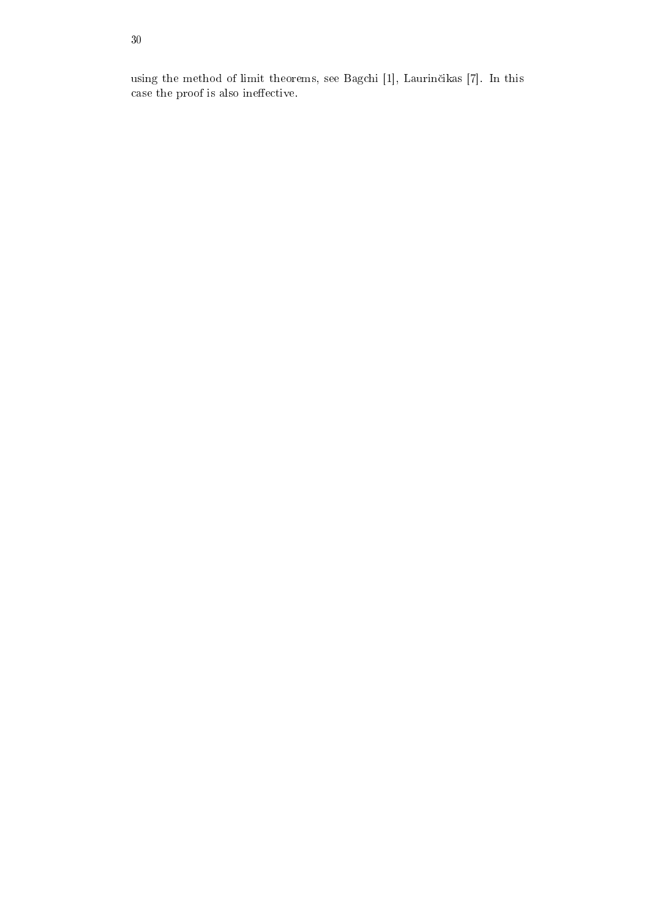using the method of limit theorems, see Bagchi [1], Laurinčikas [7]. In this case the proof is also ineffective.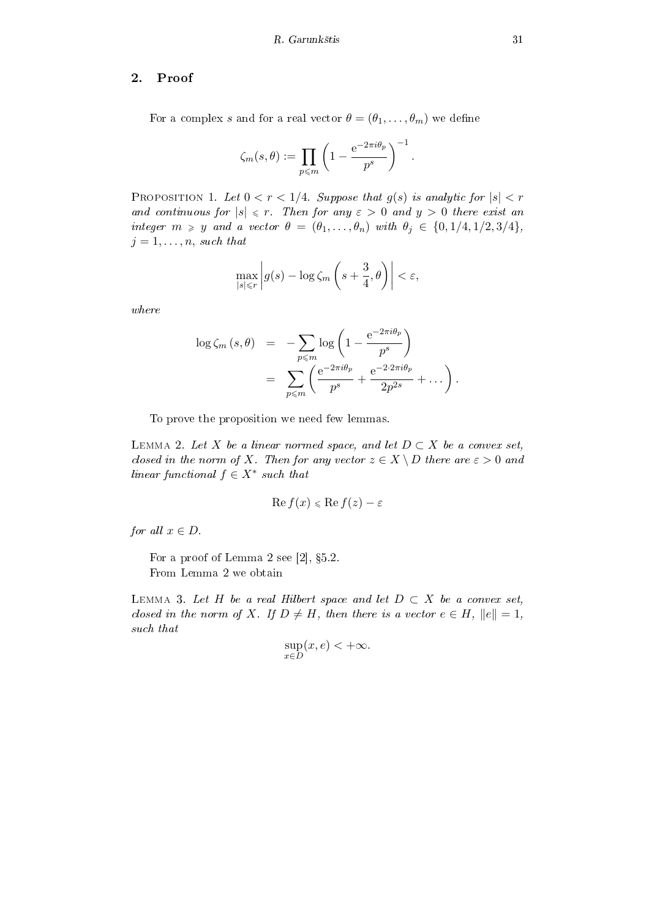### 2. Proof

For a complex s and for a real vector  $\theta = (\theta_1, \dots, \theta_m)$  we define

$$
\zeta_m(s,\theta) := \prod_{p \leqslant m} \left(1 - \frac{\mathrm{e}^{-2\pi i \theta_p}}{p^s}\right)^{-1}.
$$

PROPOSITION 1. Let  $0 < r < 1/4$ . Suppose that  $g(s)$  is analytic for  $|s| < r$ and continuous for  $|s| \le r$ . Then for any  $\varepsilon > 0$  and  $y > 0$  there exist an integer  $m \geq y$  and a vector  $\theta = (\theta_1, \ldots, \theta_n)$  with  $\theta_j \in \{0, 1/4, 1/2, 3/4\},\$  $j = 1, \ldots, n$ , such that

$$
\max_{|s| \le r} \left| g(s) - \log \zeta_m \left( s + \frac{3}{4}, \theta \right) \right| < \varepsilon,
$$

where

$$
\log \zeta_m (s,\theta) = -\sum_{p \leq m} \log \left( 1 - \frac{e^{-2\pi i \theta_p}}{p^s} \right)
$$
  
= 
$$
\sum_{p \leq m} \left( \frac{e^{-2\pi i \theta_p}}{p^s} + \frac{e^{-2\cdot 2\pi i \theta_p}}{2p^{2s}} + \dots \right).
$$

To prove the proposition we need few lemmas.

LEMMA 2. Let X be a linear normed space, and let  $D \subset X$  be a convex set, closed in the norm of X. Then for any vector  $z \in X \setminus D$  there are  $\varepsilon > 0$  and linear functional  $f \in X^*$  such that

$$
\operatorname{Re} f(x) \leqslant \operatorname{Re} f(z) - \varepsilon
$$

for all  $x \in D$ .

For a proof of Lemma 2 see  $[2]$ ,  $\S5.2$ . From Lemma 2 we obtain

LEMMA 3. Let H be a real Hilbert space and let  $D \subset X$  be a convex set, closed in the norm of X. If  $D \neq H$ , then there is a vector  $e \in H$ ,  $||e|| = 1$ , such that

$$
\sup_{x \in D} (x, e) < +\infty.
$$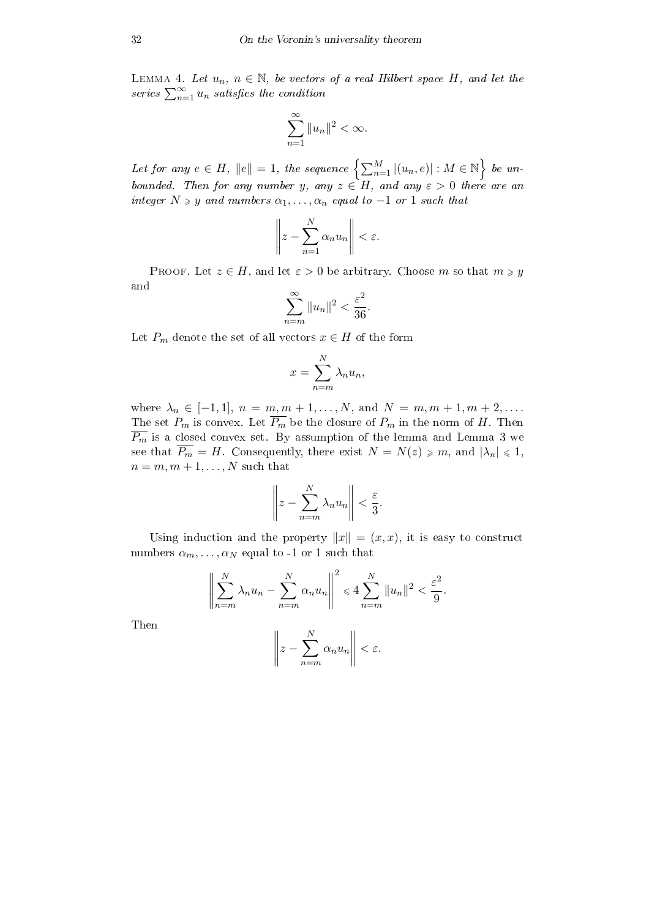LEMMA 4. Let  $u_n$ ,  $n \in \mathbb{N}$ , be vectors of a real Hilbert space H, and let the LEMMA 4. Let  $u_n$ ,  $n \in \mathbb{N}$ , be vectors<br>series  $\sum_{n=1}^{\infty} u_n$  satisfies the condition

$$
\sum_{n=1}^{\infty} \|u_n\|^2 < \infty.
$$

Let for any  $e \in H$ ,  $||e|| = 1$ , the sequence  $\left\{ \sum_{n=1}^{M} |(u_n, e)| : M \in \mathbb{N} \right\}$ o be unbounded. Then for any number y, any  $z \in H$ , and any  $\varepsilon > 0$  there are an integer  $N \geq y$  and numbers  $\alpha_1, \ldots, \alpha_n$  equal to  $-1$  or 1 such that

$$
\left\| z - \sum_{n=1}^N \alpha_n u_n \right\| < \varepsilon.
$$

PROOF. Let  $z \in H$ , and let  $\varepsilon > 0$  be arbitrary. Choose m so that  $m \geqslant y$ and

$$
\sum_{n=m}^{\infty} \|u_n\|^2 < \frac{\varepsilon^2}{36}.
$$

Let  $P_m$  denote the set of all vectors  $x \in H$  of the form

$$
x = \sum_{n=m}^{N} \lambda_n u_n,
$$

where  $\lambda_n \in [-1, 1], n = m, m + 1, \ldots, N, \text{ and } N = m, m + 1, m + 2, \ldots$ The set  $P_m$  is convex. Let  $\overline{P_m}$  be the closure of  $P_m$  in the norm of H. Then  $\overline{P_m}$  is a closed convex set. By assumption of the lemma and Lemma 3 we see that  $\overline{P_m} = H$ . Consequently, there exist  $N = N(z) \geq m$ , and  $|\lambda_n| \leq 1$ ,  $n = m, m + 1, \ldots, N$  such that

$$
\left\| z - \sum_{n=m}^{N} \lambda_n u_n \right\| < \frac{\varepsilon}{3}.
$$

Using induction and the property  $||x|| = (x, x)$ , it is easy to construct numbers  $\alpha_m, \ldots, \alpha_N$  equal to -1 or 1 such that

$$
\left\| \sum_{n=m}^{N} \lambda_n u_n - \sum_{n=m}^{N} \alpha_n u_n \right\|^2 \le 4 \sum_{n=m}^{N} \|u_n\|^2 < \frac{\varepsilon^2}{9}.
$$
\n
$$
\left\| z - \sum_{n=m}^{N} \alpha_n u_n \right\| < \varepsilon.
$$

Then

$$
\left\| z - \sum_{n=m}^{N} \alpha_n u_n \right\| < \ell
$$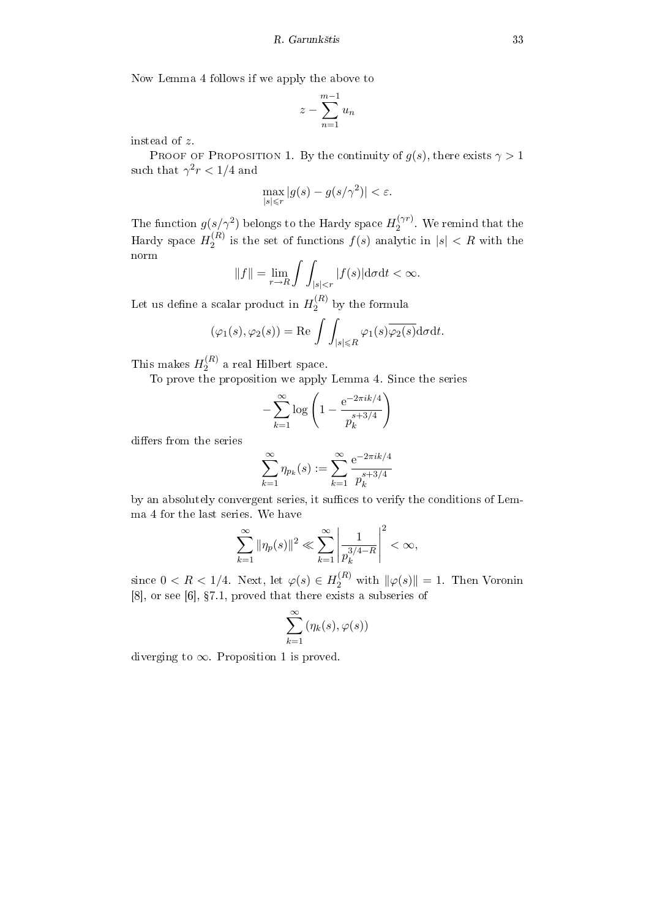Now Lemma 4 follows if we apply the above to

$$
z - \sum_{n=1}^{m-1} u_n
$$

instead of z.

PROOF OF PROPOSITION 1. By the continuity of  $g(s)$ , there exists  $\gamma > 1$ such that  $\gamma^2 r < 1/4$  and

$$
\max_{|s| \le r} |g(s) - g(s/\gamma^2)| < \varepsilon.
$$

The function  $g(s/\gamma^2)$  belongs to the Hardy space  $H_2^{(\gamma r)}$  $2^{(\gamma r)}$ . We remind that the Hardy space  $H_2^{(R)}$  $j_2^{(R)}$  is the set of functions  $f(s)$  analytic in  $|s| < R$  with the norm  $\overline{a}$ 

$$
||f|| = \lim_{r \to R} \int \int_{|s| < r} |f(s)| \mathrm{d}\sigma \mathrm{d}t < \infty.
$$

Let us define a scalar product in  $H_2^{(R)}$  $2^{(R)}$  by the formula

$$
(\varphi_1(s), \varphi_2(s)) = \text{Re} \int \int_{|s| \le R} \varphi_1(s) \overline{\varphi_2(s)} \text{d}\sigma \text{d}t.
$$

This makes  $H_2^{(R)}$  $2^{(R)}$  a real Hilbert space.

To prove the proposition we apply Lemma 4. Since the series

$$
-\sum_{k=1}^{\infty} \log \left( 1 - \frac{e^{-2\pi i k/4}}{p_k^{s+3/4}} \right)
$$

differs from the series

$$
\sum_{k=1}^{\infty} \eta_{p_k}(s) := \sum_{k=1}^{\infty} \frac{e^{-2\pi i k/4}}{p_k^{s+3/4}}
$$

by an absolutely convergent series, it suffices to verify the conditions of Lemma 4 for the last series. We have

$$
\sum_{k=1}^\infty \|\eta_p(s)\|^2 \ll \sum_{k=1}^\infty \left|\frac{1}{p_k^{3/4-R}}\right|^2 < \infty,
$$

since  $0 < R < 1/4$ . Next, let  $\varphi(s) \in H_2^{(R)}$  with  $\|\varphi(s)\| = 1$ . Then Voronin  $[8]$ , or see  $[6]$ ,  $\S 7.1$ , proved that there exists a subseries of

$$
\sum_{k=1}^{\infty} \left(\eta_k(s), \varphi(s)\right)
$$

diverging to  $\infty$ . Proposition 1 is proved.